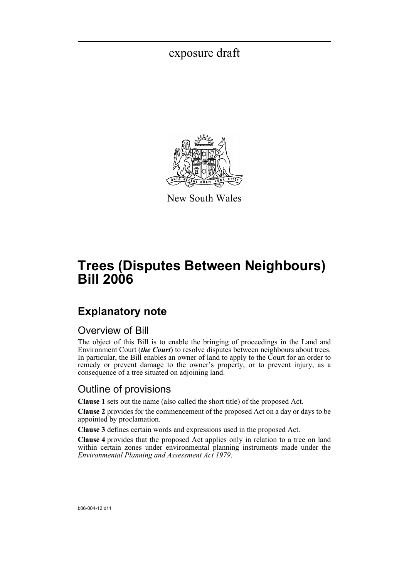

New South Wales

# **Trees (Disputes Between Neighbours) Bill 2006**

## **Explanatory note**

### Overview of Bill

The object of this Bill is to enable the bringing of proceedings in the Land and Environment Court (*the Court*) to resolve disputes between neighbours about trees. In particular, the Bill enables an owner of land to apply to the Court for an order to remedy or prevent damage to the owner's property, or to prevent injury, as a consequence of a tree situated on adjoining land.

### Outline of provisions

**Clause 1** sets out the name (also called the short title) of the proposed Act.

**Clause 2** provides for the commencement of the proposed Act on a day or days to be appointed by proclamation.

**Clause 3** defines certain words and expressions used in the proposed Act.

**Clause 4** provides that the proposed Act applies only in relation to a tree on land within certain zones under environmental planning instruments made under the *Environmental Planning and Assessment Act 1979*.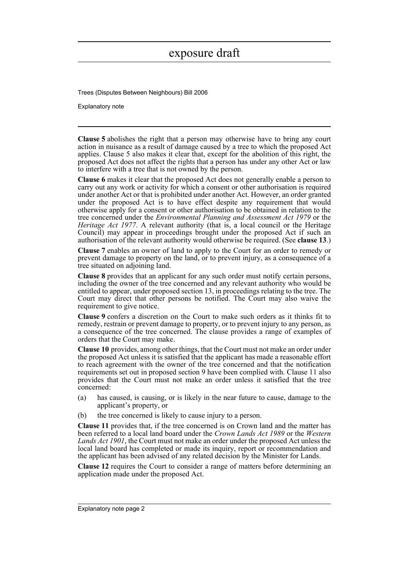Trees (Disputes Between Neighbours) Bill 2006

Explanatory note

**Clause 5** abolishes the right that a person may otherwise have to bring any court action in nuisance as a result of damage caused by a tree to which the proposed Act applies. Clause 5 also makes it clear that, except for the abolition of this right, the proposed Act does not affect the rights that a person has under any other Act or law to interfere with a tree that is not owned by the person.

**Clause 6** makes it clear that the proposed Act does not generally enable a person to carry out any work or activity for which a consent or other authorisation is required under another Act or that is prohibited under another Act. However, an order granted under the proposed Act is to have effect despite any requirement that would otherwise apply for a consent or other authorisation to be obtained in relation to the tree concerned under the *Environmental Planning and Assessment Act 1979* or the *Heritage Act 1977*. A relevant authority (that is, a local council or the Heritage Council) may appear in proceedings brought under the proposed Act if such an authorisation of the relevant authority would otherwise be required. (See **clause 13**.)

**Clause 7** enables an owner of land to apply to the Court for an order to remedy or prevent damage to property on the land, or to prevent injury, as a consequence of a tree situated on adjoining land.

**Clause 8** provides that an applicant for any such order must notify certain persons, including the owner of the tree concerned and any relevant authority who would be entitled to appear, under proposed section 13, in proceedings relating to the tree. The Court may direct that other persons be notified. The Court may also waive the requirement to give notice.

**Clause 9** confers a discretion on the Court to make such orders as it thinks fit to remedy, restrain or prevent damage to property, or to prevent injury to any person, as a consequence of the tree concerned. The clause provides a range of examples of orders that the Court may make.

**Clause 10** provides, among other things, that the Court must not make an order under the proposed Act unless it is satisfied that the applicant has made a reasonable effort to reach agreement with the owner of the tree concerned and that the notification requirements set out in proposed section 9 have been complied with. Clause 11 also provides that the Court must not make an order unless it satisfied that the tree concerned:

- (a) has caused, is causing, or is likely in the near future to cause, damage to the applicant's property, or
- (b) the tree concerned is likely to cause injury to a person.

**Clause 11** provides that, if the tree concerned is on Crown land and the matter has been referred to a local land board under the *Crown Lands Act 1989* or the *Western Lands Act 1901*, the Court must not make an order under the proposed Act unless the local land board has completed or made its inquiry, report or recommendation and the applicant has been advised of any related decision by the Minister for Lands.

**Clause 12** requires the Court to consider a range of matters before determining an application made under the proposed Act.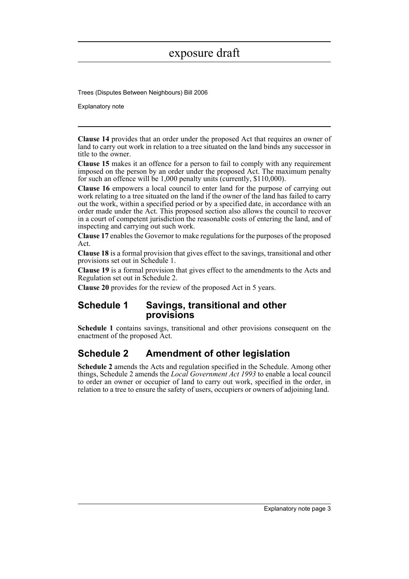Trees (Disputes Between Neighbours) Bill 2006

Explanatory note

**Clause 14** provides that an order under the proposed Act that requires an owner of land to carry out work in relation to a tree situated on the land binds any successor in title to the owner.

**Clause 15** makes it an offence for a person to fail to comply with any requirement imposed on the person by an order under the proposed Act. The maximum penalty for such an offence will be 1,000 penalty units (currently, \$110,000).

**Clause 16** empowers a local council to enter land for the purpose of carrying out work relating to a tree situated on the land if the owner of the land has failed to carry out the work, within a specified period or by a specified date, in accordance with an order made under the Act. This proposed section also allows the council to recover in a court of competent jurisdiction the reasonable costs of entering the land, and of inspecting and carrying out such work.

**Clause 17** enables the Governor to make regulations for the purposes of the proposed Act.

**Clause 18** is a formal provision that gives effect to the savings, transitional and other provisions set out in Schedule 1.

**Clause 19** is a formal provision that gives effect to the amendments to the Acts and Regulation set out in Schedule 2.

**Clause 20** provides for the review of the proposed Act in 5 years.

### **Schedule 1 Savings, transitional and other provisions**

**Schedule 1** contains savings, transitional and other provisions consequent on the enactment of the proposed Act.

### **Schedule 2 Amendment of other legislation**

**Schedule 2** amends the Acts and regulation specified in the Schedule. Among other things, Schedule 2 amends the *Local Government Act 1993* to enable a local council to order an owner or occupier of land to carry out work, specified in the order, in relation to a tree to ensure the safety of users, occupiers or owners of adjoining land.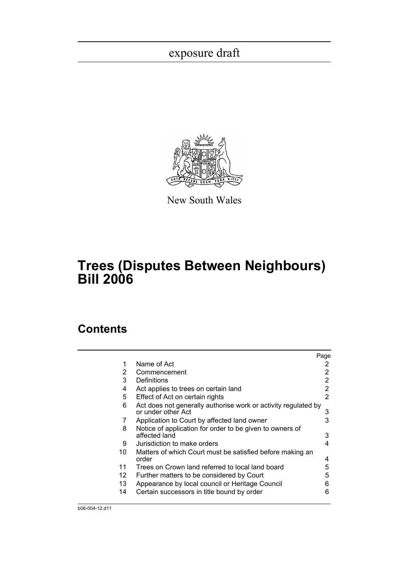

New South Wales

## **Trees (Disputes Between Neighbours) Bill 2006**

### **Contents**

|    |                                                                                      | Page |
|----|--------------------------------------------------------------------------------------|------|
| 1  | Name of Act                                                                          | 2    |
| 2  | Commencement                                                                         |      |
| 3  | Definitions                                                                          | 2    |
| 4  | Act applies to trees on certain land                                                 | 2    |
| 5  | Effect of Act on certain rights                                                      | 2    |
| 6  | Act does not generally authorise work or activity regulated by<br>or under other Act | 3    |
| 7  | Application to Court by affected land owner                                          | 3    |
| 8  | Notice of application for order to be given to owners of<br>affected land            | 3    |
| 9  | Jurisdiction to make orders                                                          | 4    |
| 10 | Matters of which Court must be satisfied before making an<br>order                   | 4    |
| 11 | Trees on Crown land referred to local land board                                     | 5    |
| 12 | Further matters to be considered by Court                                            | 5    |
| 13 | Appearance by local council or Heritage Council                                      | 6    |
| 14 | Certain successors in title bound by order                                           | 6    |
|    |                                                                                      |      |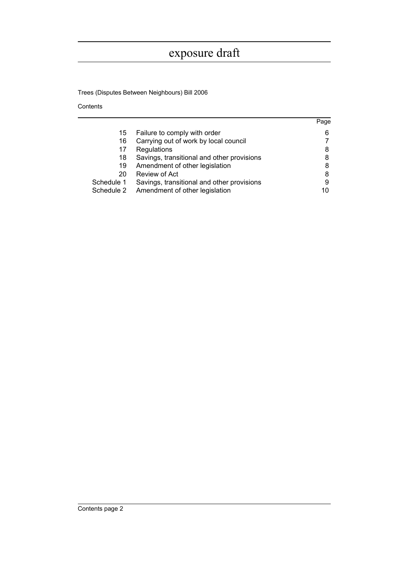Trees (Disputes Between Neighbours) Bill 2006

Contents

|            |                                            | Page |
|------------|--------------------------------------------|------|
| 15         | Failure to comply with order               | 6    |
| 16         | Carrying out of work by local council      |      |
| 17         | Regulations                                | 8    |
| 18         | Savings, transitional and other provisions | 8    |
| 19         | Amendment of other legislation             | 8    |
| 20         | Review of Act                              | 8    |
| Schedule 1 | Savings, transitional and other provisions | 9    |
| Schedule 2 | Amendment of other legislation             | 10   |
|            |                                            |      |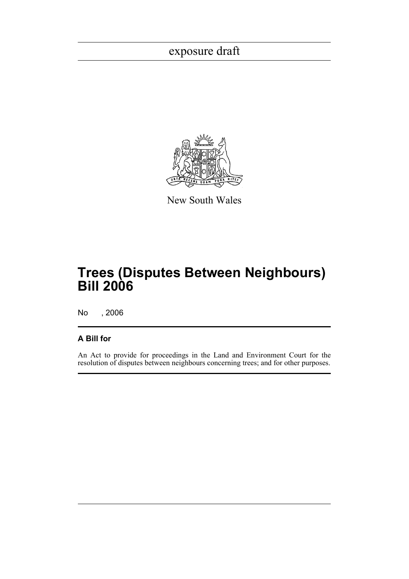

New South Wales

## **Trees (Disputes Between Neighbours) Bill 2006**

No , 2006

### **A Bill for**

An Act to provide for proceedings in the Land and Environment Court for the resolution of disputes between neighbours concerning trees; and for other purposes.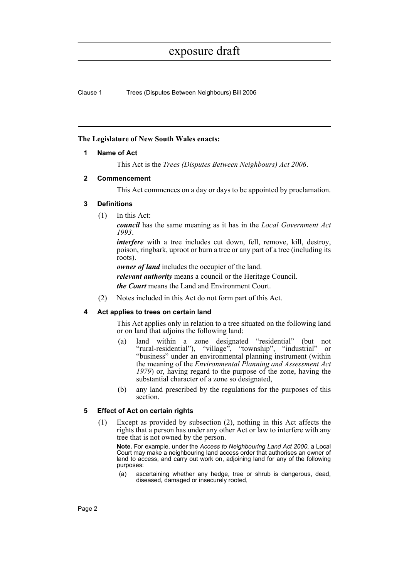Clause 1 Trees (Disputes Between Neighbours) Bill 2006

### <span id="page-6-0"></span>**The Legislature of New South Wales enacts:**

### **1 Name of Act**

This Act is the *Trees (Disputes Between Neighbours) Act 2006*.

### <span id="page-6-1"></span>**2 Commencement**

This Act commences on a day or days to be appointed by proclamation.

### <span id="page-6-2"></span>**3 Definitions**

(1) In this Act:

*council* has the same meaning as it has in the *Local Government Act 1993*.

*interfere* with a tree includes cut down, fell, remove, kill, destroy, poison, ringbark, uproot or burn a tree or any part of a tree (including its roots).

*owner of land* includes the occupier of the land.

*relevant authority* means a council or the Heritage Council.

*the Court* means the Land and Environment Court.

(2) Notes included in this Act do not form part of this Act.

### <span id="page-6-3"></span>**4 Act applies to trees on certain land**

This Act applies only in relation to a tree situated on the following land or on land that adjoins the following land:

- (a) land within a zone designated "residential" (but not "rural-residential"), "village", "township", "industrial" or "business" under an environmental planning instrument (within the meaning of the *Environmental Planning and Assessment Act 1979*) or, having regard to the purpose of the zone, having the substantial character of a zone so designated,
- (b) any land prescribed by the regulations for the purposes of this section.

### <span id="page-6-4"></span>**5 Effect of Act on certain rights**

(1) Except as provided by subsection (2), nothing in this Act affects the rights that a person has under any other Act or law to interfere with any tree that is not owned by the person.

**Note.** For example, under the *Access to Neighbouring Land Act 2000*, a Local Court may make a neighbouring land access order that authorises an owner of land to access, and carry out work on, adjoining land for any of the following purposes:

(a) ascertaining whether any hedge, tree or shrub is dangerous, dead, diseased, damaged or insecurely rooted,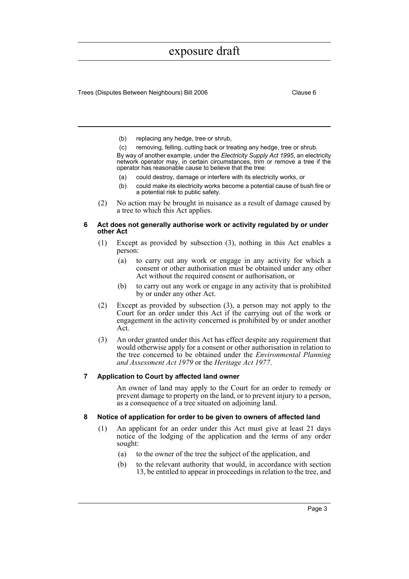Trees (Disputes Between Neighbours) Bill 2006 Clause 6

- (b) replacing any hedge, tree or shrub,
- (c) removing, felling, cutting back or treating any hedge, tree or shrub.

By way of another example, under the *Electricity Supply Act 1995*, an electricity network operator may, in certain circumstances, trim or remove a tree if the operator has reasonable cause to believe that the tree:

- (a) could destroy, damage or interfere with its electricity works, or
- (b) could make its electricity works become a potential cause of bush fire or a potential risk to public safety.
- (2) No action may be brought in nuisance as a result of damage caused by a tree to which this Act applies.

#### <span id="page-7-0"></span>**6 Act does not generally authorise work or activity regulated by or under other Act**

- (1) Except as provided by subsection (3), nothing in this Act enables a person:
	- (a) to carry out any work or engage in any activity for which a consent or other authorisation must be obtained under any other Act without the required consent or authorisation, or
	- (b) to carry out any work or engage in any activity that is prohibited by or under any other Act.
- (2) Except as provided by subsection (3), a person may not apply to the Court for an order under this Act if the carrying out of the work or engagement in the activity concerned is prohibited by or under another Act.
- (3) An order granted under this Act has effect despite any requirement that would otherwise apply for a consent or other authorisation in relation to the tree concerned to be obtained under the *Environmental Planning and Assessment Act 1979* or the *Heritage Act 1977*.

#### <span id="page-7-1"></span>**7 Application to Court by affected land owner**

An owner of land may apply to the Court for an order to remedy or prevent damage to property on the land, or to prevent injury to a person, as a consequence of a tree situated on adjoining land.

#### <span id="page-7-2"></span>**8 Notice of application for order to be given to owners of affected land**

- (1) An applicant for an order under this Act must give at least 21 days notice of the lodging of the application and the terms of any order sought:
	- (a) to the owner of the tree the subject of the application, and
	- (b) to the relevant authority that would, in accordance with section 13, be entitled to appear in proceedings in relation to the tree, and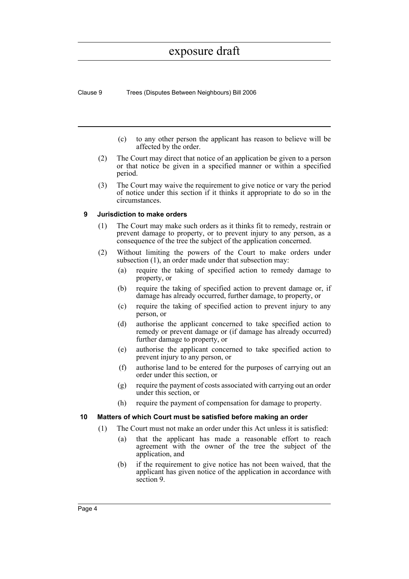Clause 9 Trees (Disputes Between Neighbours) Bill 2006

- (c) to any other person the applicant has reason to believe will be affected by the order.
- (2) The Court may direct that notice of an application be given to a person or that notice be given in a specified manner or within a specified period.
- (3) The Court may waive the requirement to give notice or vary the period of notice under this section if it thinks it appropriate to do so in the circumstances.

#### <span id="page-8-0"></span>**9 Jurisdiction to make orders**

- (1) The Court may make such orders as it thinks fit to remedy, restrain or prevent damage to property, or to prevent injury to any person, as a consequence of the tree the subject of the application concerned.
- (2) Without limiting the powers of the Court to make orders under subsection (1), an order made under that subsection may:
	- (a) require the taking of specified action to remedy damage to property, or
	- (b) require the taking of specified action to prevent damage or, if damage has already occurred, further damage, to property, or
	- (c) require the taking of specified action to prevent injury to any person, or
	- (d) authorise the applicant concerned to take specified action to remedy or prevent damage or (if damage has already occurred) further damage to property, or
	- (e) authorise the applicant concerned to take specified action to prevent injury to any person, or
	- (f) authorise land to be entered for the purposes of carrying out an order under this section, or
	- (g) require the payment of costs associated with carrying out an order under this section, or
	- (h) require the payment of compensation for damage to property.

### <span id="page-8-1"></span>**10 Matters of which Court must be satisfied before making an order**

- (1) The Court must not make an order under this Act unless it is satisfied:
	- (a) that the applicant has made a reasonable effort to reach agreement with the owner of the tree the subject of the application, and
	- (b) if the requirement to give notice has not been waived, that the applicant has given notice of the application in accordance with section 9.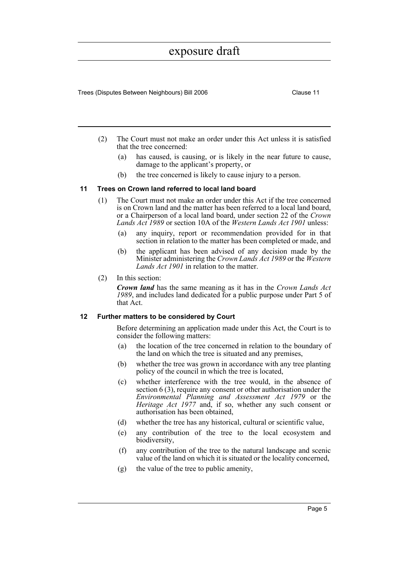Trees (Disputes Between Neighbours) Bill 2006 Clause 11

- (2) The Court must not make an order under this Act unless it is satisfied that the tree concerned:
	- (a) has caused, is causing, or is likely in the near future to cause, damage to the applicant's property, or
	- (b) the tree concerned is likely to cause injury to a person.

#### <span id="page-9-0"></span>**11 Trees on Crown land referred to local land board**

- (1) The Court must not make an order under this Act if the tree concerned is on Crown land and the matter has been referred to a local land board, or a Chairperson of a local land board, under section 22 of the *Crown Lands Act 1989* or section 10A of the *Western Lands Act 1901* unless:
	- (a) any inquiry, report or recommendation provided for in that section in relation to the matter has been completed or made, and
	- (b) the applicant has been advised of any decision made by the Minister administering the *Crown Lands Act 1989* or the *Western Lands Act 1901* in relation to the matter.
- (2) In this section:

*Crown land* has the same meaning as it has in the *Crown Lands Act 1989*, and includes land dedicated for a public purpose under Part 5 of that Act.

#### <span id="page-9-1"></span>**12 Further matters to be considered by Court**

Before determining an application made under this Act, the Court is to consider the following matters:

- (a) the location of the tree concerned in relation to the boundary of the land on which the tree is situated and any premises,
- (b) whether the tree was grown in accordance with any tree planting policy of the council in which the tree is located,
- (c) whether interference with the tree would, in the absence of section 6 (3), require any consent or other authorisation under the *Environmental Planning and Assessment Act 1979* or the *Heritage Act 1977* and, if so, whether any such consent or authorisation has been obtained,
- (d) whether the tree has any historical, cultural or scientific value,
- (e) any contribution of the tree to the local ecosystem and biodiversity,
- (f) any contribution of the tree to the natural landscape and scenic value of the land on which it is situated or the locality concerned,
- (g) the value of the tree to public amenity,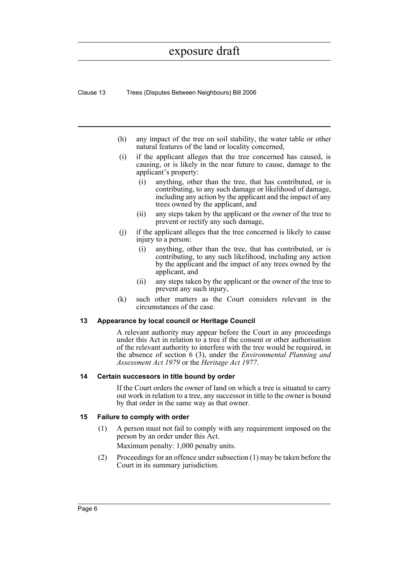Clause 13 Trees (Disputes Between Neighbours) Bill 2006

- (h) any impact of the tree on soil stability, the water table or other natural features of the land or locality concerned,
- (i) if the applicant alleges that the tree concerned has caused, is causing, or is likely in the near future to cause, damage to the applicant's property:
	- (i) anything, other than the tree, that has contributed, or is contributing, to any such damage or likelihood of damage, including any action by the applicant and the impact of any trees owned by the applicant, and
	- (ii) any steps taken by the applicant or the owner of the tree to prevent or rectify any such damage,
- (j) if the applicant alleges that the tree concerned is likely to cause injury to a person:
	- (i) anything, other than the tree, that has contributed, or is contributing, to any such likelihood, including any action by the applicant and the impact of any trees owned by the applicant, and
	- (ii) any steps taken by the applicant or the owner of the tree to prevent any such injury,
- (k) such other matters as the Court considers relevant in the circumstances of the case.

### <span id="page-10-0"></span>**13 Appearance by local council or Heritage Council**

A relevant authority may appear before the Court in any proceedings under this Act in relation to a tree if the consent or other authorisation of the relevant authority to interfere with the tree would be required, in the absence of section 6 (3), under the *Environmental Planning and Assessment Act 1979* or the *Heritage Act 1977*.

#### <span id="page-10-1"></span>**14 Certain successors in title bound by order**

If the Court orders the owner of land on which a tree is situated to carry out work in relation to a tree, any successor in title to the owner is bound by that order in the same way as that owner.

### <span id="page-10-2"></span>**15 Failure to comply with order**

- (1) A person must not fail to comply with any requirement imposed on the person by an order under this Act. Maximum penalty: 1,000 penalty units.
- (2) Proceedings for an offence under subsection (1) may be taken before the Court in its summary jurisdiction.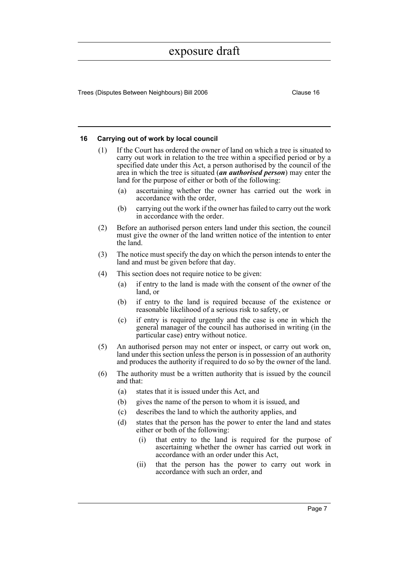Trees (Disputes Between Neighbours) Bill 2006 Clause 16

#### <span id="page-11-0"></span>**16 Carrying out of work by local council**

- (1) If the Court has ordered the owner of land on which a tree is situated to carry out work in relation to the tree within a specified period or by a specified date under this Act, a person authorised by the council of the area in which the tree is situated (*an authorised person*) may enter the land for the purpose of either or both of the following:
	- ascertaining whether the owner has carried out the work in accordance with the order,
	- (b) carrying out the work if the owner has failed to carry out the work in accordance with the order.
- (2) Before an authorised person enters land under this section, the council must give the owner of the land written notice of the intention to enter the land.
- (3) The notice must specify the day on which the person intends to enter the land and must be given before that day.
- (4) This section does not require notice to be given:
	- (a) if entry to the land is made with the consent of the owner of the land, or
	- (b) if entry to the land is required because of the existence or reasonable likelihood of a serious risk to safety, or
	- (c) if entry is required urgently and the case is one in which the general manager of the council has authorised in writing (in the particular case) entry without notice.
- (5) An authorised person may not enter or inspect, or carry out work on, land under this section unless the person is in possession of an authority and produces the authority if required to do so by the owner of the land.
- (6) The authority must be a written authority that is issued by the council and that:
	- (a) states that it is issued under this Act, and
	- (b) gives the name of the person to whom it is issued, and
	- (c) describes the land to which the authority applies, and
	- (d) states that the person has the power to enter the land and states either or both of the following:
		- (i) that entry to the land is required for the purpose of ascertaining whether the owner has carried out work in accordance with an order under this Act,
		- (ii) that the person has the power to carry out work in accordance with such an order, and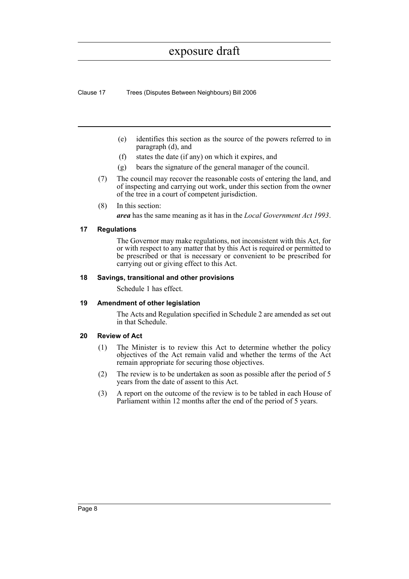Clause 17 Trees (Disputes Between Neighbours) Bill 2006

- (e) identifies this section as the source of the powers referred to in paragraph (d), and
- (f) states the date (if any) on which it expires, and
- (g) bears the signature of the general manager of the council.
- (7) The council may recover the reasonable costs of entering the land, and of inspecting and carrying out work, under this section from the owner of the tree in a court of competent jurisdiction.
- (8) In this section:

*area* has the same meaning as it has in the *Local Government Act 1993*.

### <span id="page-12-0"></span>**17 Regulations**

The Governor may make regulations, not inconsistent with this Act, for or with respect to any matter that by this Act is required or permitted to be prescribed or that is necessary or convenient to be prescribed for carrying out or giving effect to this Act.

#### <span id="page-12-1"></span>**18 Savings, transitional and other provisions**

Schedule 1 has effect.

### <span id="page-12-2"></span>**19 Amendment of other legislation**

The Acts and Regulation specified in Schedule 2 are amended as set out in that Schedule.

### <span id="page-12-3"></span>**20 Review of Act**

- (1) The Minister is to review this Act to determine whether the policy objectives of the Act remain valid and whether the terms of the Act remain appropriate for securing those objectives.
- (2) The review is to be undertaken as soon as possible after the period of 5 years from the date of assent to this Act.
- (3) A report on the outcome of the review is to be tabled in each House of Parliament within 12 months after the end of the period of 5 years.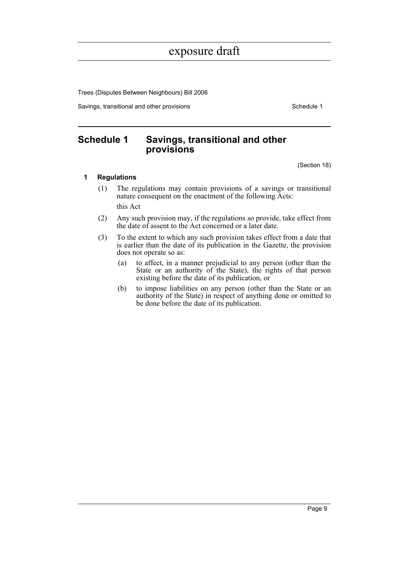Trees (Disputes Between Neighbours) Bill 2006

Savings, transitional and other provisions Schedule 1

### <span id="page-13-0"></span>**Schedule 1 Savings, transitional and other provisions**

(Section 18)

### **1 Regulations**

- (1) The regulations may contain provisions of a savings or transitional nature consequent on the enactment of the following Acts: this Act
- (2) Any such provision may, if the regulations so provide, take effect from the date of assent to the Act concerned or a later date.
- (3) To the extent to which any such provision takes effect from a date that is earlier than the date of its publication in the Gazette, the provision does not operate so as:
	- (a) to affect, in a manner prejudicial to any person (other than the State or an authority of the State), the rights of that person existing before the date of its publication, or
	- (b) to impose liabilities on any person (other than the State or an authority of the State) in respect of anything done or omitted to be done before the date of its publication.